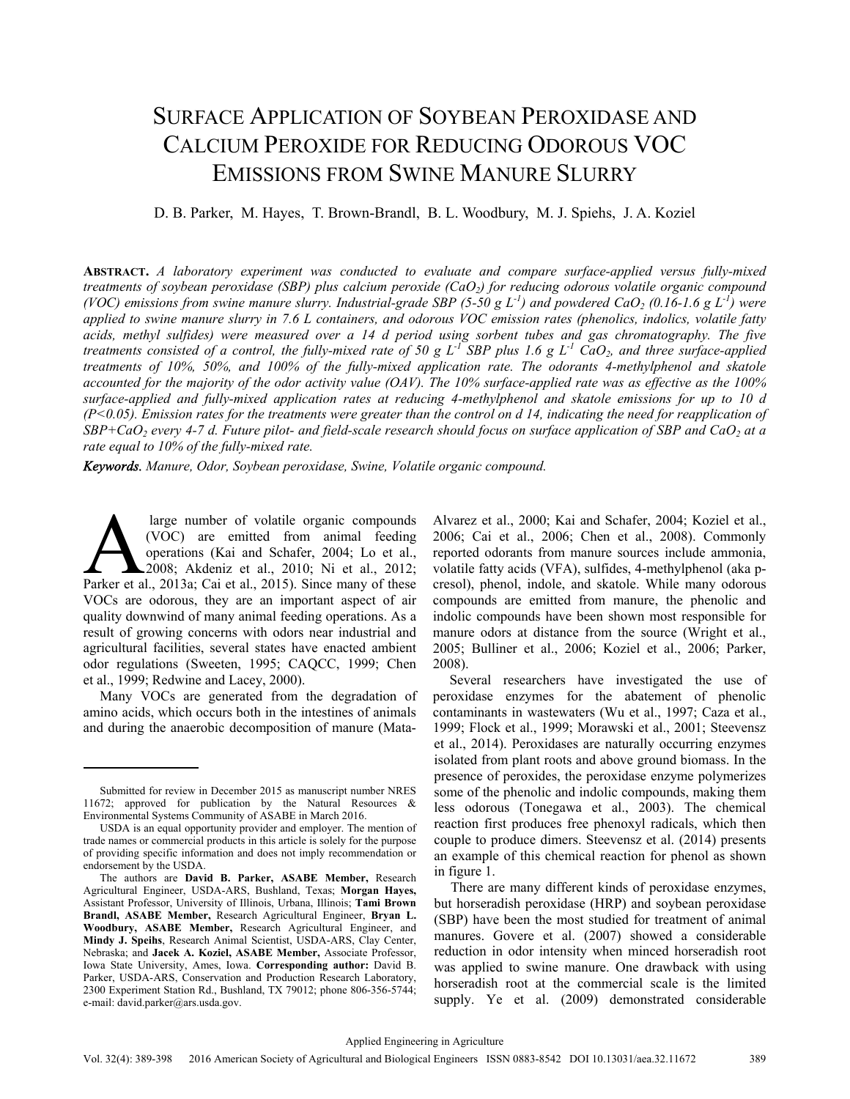# SURFACE APPLICATION OF SOYBEAN PEROXIDASE AND CALCIUM PEROXIDE FOR REDUCING ODOROUS VOC EMISSIONS FROM SWINE MANURE SLURRY

D. B. Parker, M. Hayes, T. Brown-Brandl, B. L. Woodbury, M. J. Spiehs, J. A. Koziel

**ABSTRACT.** *A laboratory experiment was conducted to evaluate and compare surface-applied versus fully-mixed treatments of soybean peroxidase (SBP) plus calcium peroxide (CaO<sub>2</sub>) for reducing odorous volatile organic compound (VOC) emissions from swine manure slurry. Industrial-grade SBP (5-50 g L<sup>-1</sup>) and powdered CaO<sub>2</sub> (0.16-1.6 g L<sup>-1</sup>) were applied to swine manure slurry in 7.6 L containers, and odorous VOC emission rates (phenolics, indolics, volatile fatty acids, methyl sulfides) were measured over a 14 d period using sorbent tubes and gas chromatography. The five treatments consisted of a control, the fully-mixed rate of 50 g L<sup>-1</sup> SBP plus 1.6 g L<sup>-1</sup> CaO<sub>2</sub>, and three surface-applied treatments of 10%, 50%, and 100% of the fully-mixed application rate. The odorants 4-methylphenol and skatole accounted for the majority of the odor activity value (OAV). The 10% surface-applied rate was as effective as the 100% surface-applied and fully-mixed application rates at reducing 4-methylphenol and skatole emissions for up to 10 d (P<0.05). Emission rates for the treatments were greater than the control on d 14, indicating the need for reapplication of SBP+CaO<sub>2</sub> every 4-7 d. Future pilot- and field-scale research should focus on surface application of SBP and CaO<sub>2</sub> at a rate equal to 10% of the fully-mixed rate.* 

*Keywords. Manure, Odor, Soybean peroxidase, Swine, Volatile organic compound.* 

 large number of volatile organic compounds (VOC) are emitted from animal feeding operations (Kai and Schafer, 2004; Lo et al., 2008; Akdeniz et al., 2010; Ni et al., 2012; large number of volatile organic compounds<br>
(VOC) are emitted from animal feeding<br>
operations (Kai and Schafer, 2004; Lo et al.,<br>
2008; Akdeniz et al., 2010; Ni et al., 2012;<br>
Parker et al., 2013a; Cai et al., 2015). Since VOCs are odorous, they are an important aspect of air quality downwind of many animal feeding operations. As a result of growing concerns with odors near industrial and agricultural facilities, several states have enacted ambient odor regulations (Sweeten, 1995; CAQCC, 1999; Chen et al., 1999; Redwine and Lacey, 2000).

Many VOCs are generated from the degradation of amino acids, which occurs both in the intestines of animals and during the anaerobic decomposition of manure (MataAlvarez et al., 2000; Kai and Schafer, 2004; Koziel et al., 2006; Cai et al., 2006; Chen et al., 2008). Commonly reported odorants from manure sources include ammonia, volatile fatty acids (VFA), sulfides, 4-methylphenol (aka pcresol), phenol, indole, and skatole. While many odorous compounds are emitted from manure, the phenolic and indolic compounds have been shown most responsible for manure odors at distance from the source (Wright et al., 2005; Bulliner et al., 2006; Koziel et al., 2006; Parker, 2008).

Several researchers have investigated the use of peroxidase enzymes for the abatement of phenolic contaminants in wastewaters (Wu et al., 1997; Caza et al., 1999; Flock et al., 1999; Morawski et al., 2001; Steevensz et al., 2014). Peroxidases are naturally occurring enzymes isolated from plant roots and above ground biomass. In the presence of peroxides, the peroxidase enzyme polymerizes some of the phenolic and indolic compounds, making them less odorous (Tonegawa et al., 2003). The chemical reaction first produces free phenoxyl radicals, which then couple to produce dimers. Steevensz et al. (2014) presents an example of this chemical reaction for phenol as shown in figure 1.

There are many different kinds of peroxidase enzymes, but horseradish peroxidase (HRP) and soybean peroxidase (SBP) have been the most studied for treatment of animal manures. Govere et al. (2007) showed a considerable reduction in odor intensity when minced horseradish root was applied to swine manure. One drawback with using horseradish root at the commercial scale is the limited supply. Ye et al. (2009) demonstrated considerable

Submitted for review in December 2015 as manuscript number NRES 11672; approved for publication by the Natural Resources & Environmental Systems Community of ASABE in March 2016.

USDA is an equal opportunity provider and employer. The mention of trade names or commercial products in this article is solely for the purpose of providing specific information and does not imply recommendation or endorsement by the USDA.

The authors are **David B. Parker, ASABE Member,** Research Agricultural Engineer, USDA-ARS, Bushland, Texas; **Morgan Hayes,** Assistant Professor, University of Illinois, Urbana, Illinois; **Tami Brown Brandl, ASABE Member,** Research Agricultural Engineer, **Bryan L. Woodbury, ASABE Member,** Research Agricultural Engineer, and **Mindy J. Speihs**, Research Animal Scientist, USDA-ARS, Clay Center, Nebraska; and **Jacek A. Koziel, ASABE Member,** Associate Professor, Iowa State University, Ames, Iowa. **Corresponding author:** David B. Parker, USDA-ARS, Conservation and Production Research Laboratory, 2300 Experiment Station Rd., Bushland, TX 79012; phone 806-356-5744; e-mail: david.parker@ars.usda.gov.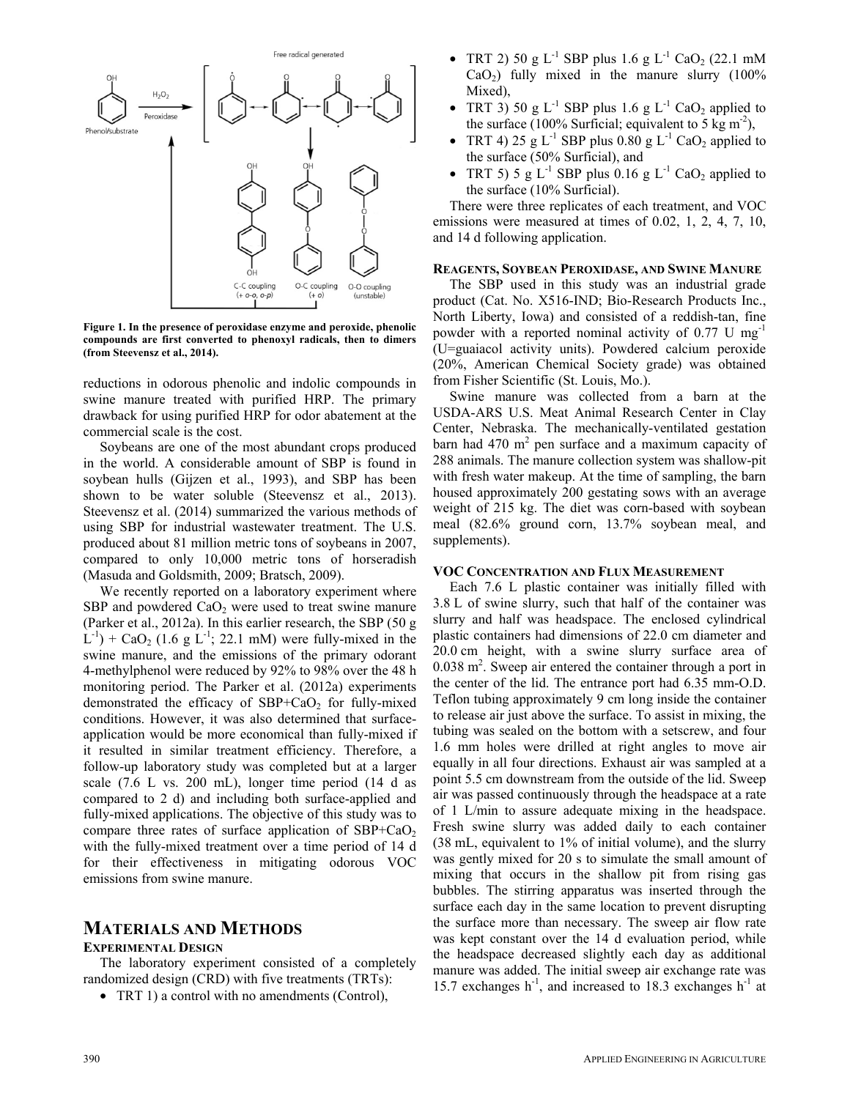

**Figure 1. In the presence of peroxidase enzyme and peroxide, phenolic compounds are first converted to phenoxyl radicals, then to dimers (from Steevensz et al., 2014).** 

reductions in odorous phenolic and indolic compounds in swine manure treated with purified HRP. The primary drawback for using purified HRP for odor abatement at the commercial scale is the cost.

Soybeans are one of the most abundant crops produced in the world. A considerable amount of SBP is found in soybean hulls (Gijzen et al., 1993), and SBP has been shown to be water soluble (Steevensz et al., 2013). Steevensz et al. (2014) summarized the various methods of using SBP for industrial wastewater treatment. The U.S. produced about 81 million metric tons of soybeans in 2007, compared to only 10,000 metric tons of horseradish (Masuda and Goldsmith, 2009; Bratsch, 2009).

We recently reported on a laboratory experiment where SBP and powdered  $CaO<sub>2</sub>$  were used to treat swine manure (Parker et al., 2012a). In this earlier research, the SBP (50 g  $L^{-1}$ ) + CaO<sub>2</sub> (1.6 g L<sup>-1</sup>; 22.1 mM) were fully-mixed in the swine manure, and the emissions of the primary odorant 4-methylphenol were reduced by 92% to 98% over the 48 h monitoring period. The Parker et al. (2012a) experiments demonstrated the efficacy of  $SBP+CaO<sub>2</sub>$  for fully-mixed conditions. However, it was also determined that surfaceapplication would be more economical than fully-mixed if it resulted in similar treatment efficiency. Therefore, a follow-up laboratory study was completed but at a larger scale (7.6 L vs. 200 mL), longer time period (14 d as compared to 2 d) and including both surface-applied and fully-mixed applications. The objective of this study was to compare three rates of surface application of  $SBP+CaO<sub>2</sub>$ with the fully-mixed treatment over a time period of 14 d for their effectiveness in mitigating odorous VOC emissions from swine manure.

# **MATERIALS AND METHODS**

### **EXPERIMENTAL DESIGN**

The laboratory experiment consisted of a completely randomized design (CRD) with five treatments (TRTs):

• TRT 1) a control with no amendments (Control),

- TRT 2) 50 g  $L^{-1}$  SBP plus 1.6 g  $L^{-1}$  CaO<sub>2</sub> (22.1 mM  $CaO<sub>2</sub>$ ) fully mixed in the manure slurry (100%) Mixed),
- TRT 3) 50 g L<sup>-1</sup> SBP plus 1.6 g L<sup>-1</sup> CaO<sub>2</sub> applied to the surface (100% Surficial; equivalent to 5 kg m<sup>-2</sup>),
- TRT 4) 25 g  $L^{-1}$  SBP plus 0.80 g  $L^{-1}$  CaO<sub>2</sub> applied to the surface (50% Surficial), and
- TRT 5) 5 g  $L^{-1}$  SBP plus 0.16 g  $L^{-1}$  CaO<sub>2</sub> applied to the surface (10% Surficial).

There were three replicates of each treatment, and VOC emissions were measured at times of 0.02, 1, 2, 4, 7, 10, and 14 d following application.

#### **REAGENTS, SOYBEAN PEROXIDASE, AND SWINE MANURE**

The SBP used in this study was an industrial grade product (Cat. No. X516-IND; Bio-Research Products Inc., North Liberty, Iowa) and consisted of a reddish-tan, fine powder with a reported nominal activity of 0.77 U mg-1 (U=guaiacol activity units). Powdered calcium peroxide (20%, American Chemical Society grade) was obtained from Fisher Scientific (St. Louis, Mo.).

Swine manure was collected from a barn at the USDA-ARS U.S. Meat Animal Research Center in Clay Center, Nebraska. The mechanically-ventilated gestation barn had  $470 \text{ m}^2$  pen surface and a maximum capacity of 288 animals. The manure collection system was shallow-pit with fresh water makeup. At the time of sampling, the barn housed approximately 200 gestating sows with an average weight of 215 kg. The diet was corn-based with soybean meal (82.6% ground corn, 13.7% soybean meal, and supplements).

### **VOC CONCENTRATION AND FLUX MEASUREMENT**

Each 7.6 L plastic container was initially filled with 3.8 L of swine slurry, such that half of the container was slurry and half was headspace. The enclosed cylindrical plastic containers had dimensions of 22.0 cm diameter and 20.0 cm height, with a swine slurry surface area of  $0.038$  m<sup>2</sup>. Sweep air entered the container through a port in the center of the lid. The entrance port had 6.35 mm-O.D. Teflon tubing approximately 9 cm long inside the container to release air just above the surface. To assist in mixing, the tubing was sealed on the bottom with a setscrew, and four 1.6 mm holes were drilled at right angles to move air equally in all four directions. Exhaust air was sampled at a point 5.5 cm downstream from the outside of the lid. Sweep air was passed continuously through the headspace at a rate of 1 L/min to assure adequate mixing in the headspace. Fresh swine slurry was added daily to each container (38 mL, equivalent to 1% of initial volume), and the slurry was gently mixed for 20 s to simulate the small amount of mixing that occurs in the shallow pit from rising gas bubbles. The stirring apparatus was inserted through the surface each day in the same location to prevent disrupting the surface more than necessary. The sweep air flow rate was kept constant over the 14 d evaluation period, while the headspace decreased slightly each day as additional manure was added. The initial sweep air exchange rate was 15.7 exchanges  $h^{-1}$ , and increased to 18.3 exchanges  $h^{-1}$  at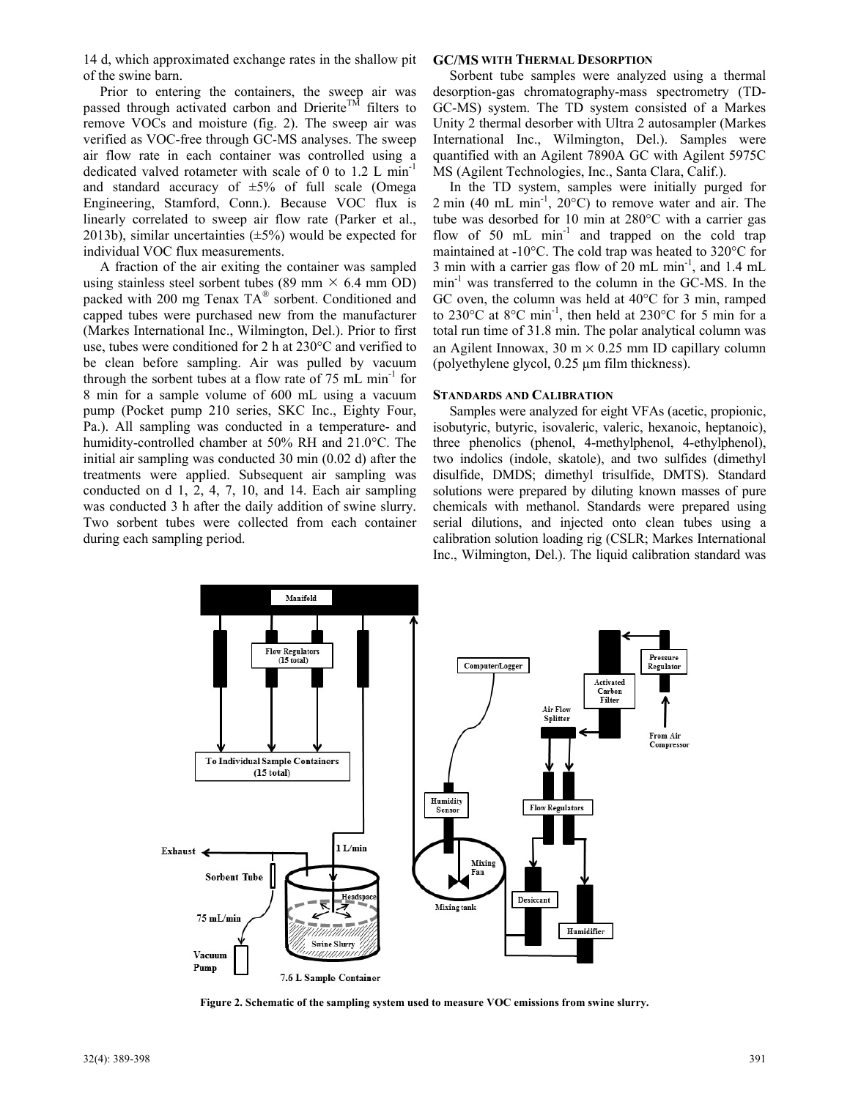14 d, which approximated exchange rates in the shallow pit of the swine barn.

Prior to entering the containers, the sweep air was passed through activated carbon and Drierite<sup>TM</sup> filters to remove VOCs and moisture (fig. 2). The sweep air was verified as VOC-free through GC-MS analyses. The sweep air flow rate in each container was controlled using a dedicated valved rotameter with scale of 0 to 1.2 L min-1 and standard accuracy of  $\pm 5\%$  of full scale (Omega Engineering, Stamford, Conn.). Because VOC flux is linearly correlated to sweep air flow rate (Parker et al., 2013b), similar uncertainties  $(\pm 5\%)$  would be expected for individual VOC flux measurements.

A fraction of the air exiting the container was sampled using stainless steel sorbent tubes (89 mm  $\times$  6.4 mm OD) packed with 200 mg Tenax TA® sorbent. Conditioned and capped tubes were purchased new from the manufacturer (Markes International Inc., Wilmington, Del.). Prior to first use, tubes were conditioned for 2 h at 230°C and verified to be clean before sampling. Air was pulled by vacuum through the sorbent tubes at a flow rate of  $75 \text{ mL min}^{-1}$  for 8 min for a sample volume of 600 mL using a vacuum pump (Pocket pump 210 series, SKC Inc., Eighty Four, Pa.). All sampling was conducted in a temperature- and humidity-controlled chamber at 50% RH and 21.0°C. The initial air sampling was conducted 30 min (0.02 d) after the treatments were applied. Subsequent air sampling was conducted on d 1, 2, 4, 7, 10, and 14. Each air sampling was conducted 3 h after the daily addition of swine slurry. Two sorbent tubes were collected from each container during each sampling period.

## **GC/MS WITH THERMAL DESORPTION**

Sorbent tube samples were analyzed using a thermal desorption-gas chromatography-mass spectrometry (TD-GC-MS) system. The TD system consisted of a Markes Unity 2 thermal desorber with Ultra 2 autosampler (Markes International Inc., Wilmington, Del.). Samples were quantified with an Agilent 7890A GC with Agilent 5975C MS (Agilent Technologies, Inc., Santa Clara, Calif.).

In the TD system, samples were initially purged for  $2 \text{ min } (40 \text{ mL } \text{min}^{-1}, 20^{\circ} \text{C})$  to remove water and air. The tube was desorbed for 10 min at 280°C with a carrier gas flow of 50 mL min<sup>-1</sup> and trapped on the cold trap maintained at -10°C. The cold trap was heated to 320°C for 3 min with a carrier gas flow of 20 mL min<sup>-1</sup>, and 1.4 mL  $min<sup>-1</sup>$  was transferred to the column in the GC-MS. In the GC oven, the column was held at 40°C for 3 min, ramped to 230°C at 8°C min-1, then held at 230°C for 5 min for a total run time of 31.8 min. The polar analytical column was an Agilent Innowax,  $30 \text{ m} \times 0.25 \text{ mm}$  ID capillary column (polyethylene glycol, 0.25 µm film thickness).

#### **STANDARDS AND CALIBRATION**

Samples were analyzed for eight VFAs (acetic, propionic, isobutyric, butyric, isovaleric, valeric, hexanoic, heptanoic), three phenolics (phenol, 4-methylphenol, 4-ethylphenol), two indolics (indole, skatole), and two sulfides (dimethyl disulfide, DMDS; dimethyl trisulfide, DMTS). Standard solutions were prepared by diluting known masses of pure chemicals with methanol. Standards were prepared using serial dilutions, and injected onto clean tubes using a calibration solution loading rig (CSLR; Markes International Inc., Wilmington, Del.). The liquid calibration standard was



**Figure 2. Schematic of the sampling system used to measure VOC emissions from swine slurry.**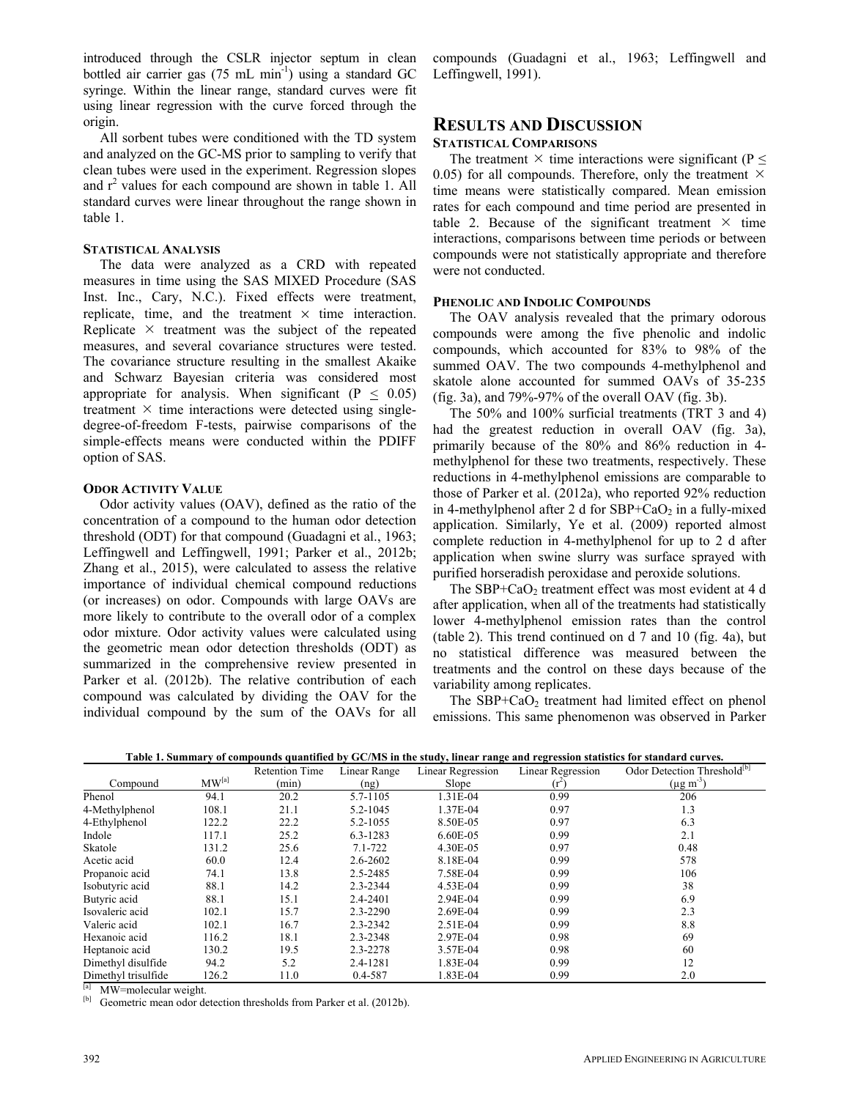introduced through the CSLR injector septum in clean bottled air carrier gas  $(75 \text{ mL min}^{-1})$  using a standard GC syringe. Within the linear range, standard curves were fit using linear regression with the curve forced through the origin.

All sorbent tubes were conditioned with the TD system and analyzed on the GC-MS prior to sampling to verify that clean tubes were used in the experiment. Regression slopes and  $r^2$  values for each compound are shown in table 1. All standard curves were linear throughout the range shown in table 1.

### **STATISTICAL ANALYSIS**

The data were analyzed as a CRD with repeated measures in time using the SAS MIXED Procedure (SAS Inst. Inc., Cary, N.C.). Fixed effects were treatment, replicate, time, and the treatment  $\times$  time interaction. Replicate  $\times$  treatment was the subject of the repeated measures, and several covariance structures were tested. The covariance structure resulting in the smallest Akaike and Schwarz Bayesian criteria was considered most appropriate for analysis. When significant  $(P < 0.05)$ treatment  $\times$  time interactions were detected using singledegree-of-freedom F-tests, pairwise comparisons of the simple-effects means were conducted within the PDIFF option of SAS.

## **ODOR ACTIVITY VALUE**

Odor activity values (OAV), defined as the ratio of the concentration of a compound to the human odor detection threshold (ODT) for that compound (Guadagni et al., 1963; Leffingwell and Leffingwell, 1991; Parker et al., 2012b; Zhang et al., 2015), were calculated to assess the relative importance of individual chemical compound reductions (or increases) on odor. Compounds with large OAVs are more likely to contribute to the overall odor of a complex odor mixture. Odor activity values were calculated using the geometric mean odor detection thresholds (ODT) as summarized in the comprehensive review presented in Parker et al. (2012b). The relative contribution of each compound was calculated by dividing the OAV for the individual compound by the sum of the OAVs for all

compounds (Guadagni et al., 1963; Leffingwell and Leffingwell, 1991).

## **RESULTS AND DISCUSSION**

## **STATISTICAL COMPARISONS**

The treatment  $\times$  time interactions were significant (P  $\leq$ 0.05) for all compounds. Therefore, only the treatment  $\times$ time means were statistically compared. Mean emission rates for each compound and time period are presented in table 2. Because of the significant treatment  $\times$  time interactions, comparisons between time periods or between compounds were not statistically appropriate and therefore were not conducted.

### **PHENOLIC AND INDOLIC COMPOUNDS**

The OAV analysis revealed that the primary odorous compounds were among the five phenolic and indolic compounds, which accounted for 83% to 98% of the summed OAV. The two compounds 4-methylphenol and skatole alone accounted for summed OAVs of 35-235 (fig. 3a), and  $79\% - 97\%$  of the overall OAV (fig. 3b).

The 50% and 100% surficial treatments (TRT 3 and 4) had the greatest reduction in overall OAV (fig. 3a), primarily because of the 80% and 86% reduction in 4 methylphenol for these two treatments, respectively. These reductions in 4-methylphenol emissions are comparable to those of Parker et al. (2012a), who reported 92% reduction in 4-methylphenol after 2 d for  $SBP+CaO<sub>2</sub>$  in a fully-mixed application. Similarly, Ye et al. (2009) reported almost complete reduction in 4-methylphenol for up to 2 d after application when swine slurry was surface sprayed with purified horseradish peroxidase and peroxide solutions.

The  $SBP+CaO<sub>2</sub>$  treatment effect was most evident at 4 d after application, when all of the treatments had statistically lower 4-methylphenol emission rates than the control (table 2). This trend continued on d 7 and 10 (fig. 4a), but no statistical difference was measured between the treatments and the control on these days because of the variability among replicates.

The  $SBP+CaO<sub>2</sub>$  treatment had limited effect on phenol emissions. This same phenomenon was observed in Parker

|                          |                            | <b>Retention Time</b> | Linear Range  | Linear Regression | Linear Regression | Odor Detection Threshold <sup>[b]</sup> |  |
|--------------------------|----------------------------|-----------------------|---------------|-------------------|-------------------|-----------------------------------------|--|
| Compound                 | MW <sup>[a]</sup><br>(min) |                       | Slope<br>(ng) |                   | $(r^2)$           | $(\mu g \, \text{m}^3)$                 |  |
| Phenol                   | 94.1                       | 20.2                  | 5.7-1105      | 1.31E-04          | 0.99              | 206                                     |  |
| 4-Methylphenol           | 108.1                      | 21.1                  | 5.2-1045      | 1.37E-04          | 0.97              | 1.3                                     |  |
| 4-Ethylphenol            | 122.2                      | 22.2                  | 5.2-1055      | 8.50E-05          | 0.97              | 6.3                                     |  |
| Indole                   | 117.1                      | 25.2                  | 6.3-1283      | 6.60E-05          | 0.99              | 2.1                                     |  |
| Skatole                  | 131.2                      | 25.6                  | $7.1 - 722$   | 4.30E-05          | 0.97              | 0.48                                    |  |
| Acetic acid              | 60.0                       | 12.4                  | 2.6-2602      | 8.18E-04          | 0.99              | 578                                     |  |
| Propanoic acid           | 74.1                       | 13.8                  | 2.5-2485      | 7.58E-04          | 0.99              | 106                                     |  |
| Isobutyric acid          | 88.1                       | 14.2                  | 2.3-2344      | 4.53E-04          | 0.99              | 38                                      |  |
| Butyric acid             | 88.1                       | 15.1                  | 2.4-2401      | 2.94E-04          | 0.99              | 6.9                                     |  |
| Isovaleric acid          | 102.1                      | 15.7                  | 2.3-2290      | 2.69E-04          | 0.99              | 2.3                                     |  |
| Valeric acid             | 102.1                      | 16.7                  | 2.3-2342      | $2.51E-04$        | 0.99              | 8.8                                     |  |
| Hexanoic acid            | 116.2                      | 18.1                  | 2.3-2348      | 2.97E-04          | 0.98              | 69                                      |  |
| Heptanoic acid           | 130.2                      | 19.5                  | 2.3-2278      | 3.57E-04          | 0.98              | 60                                      |  |
| Dimethyl disulfide       | 94.2                       | 5.2                   | 2.4-1281      | 1.83E-04          | 0.99              | 12                                      |  |
| Dimethyl trisulfide      | 126.2                      | 11.0                  | 0.4-587       | 1.83E-04          | 0.99              | 2.0                                     |  |
| [a] MW=molecular weight. |                            |                       |               |                   |                   |                                         |  |

**Table 1. Summary of compounds quantified by GC/MS in the study, linear range and regression statistics for standard curves.** 

[b] Geometric mean odor detection thresholds from Parker et al. (2012b).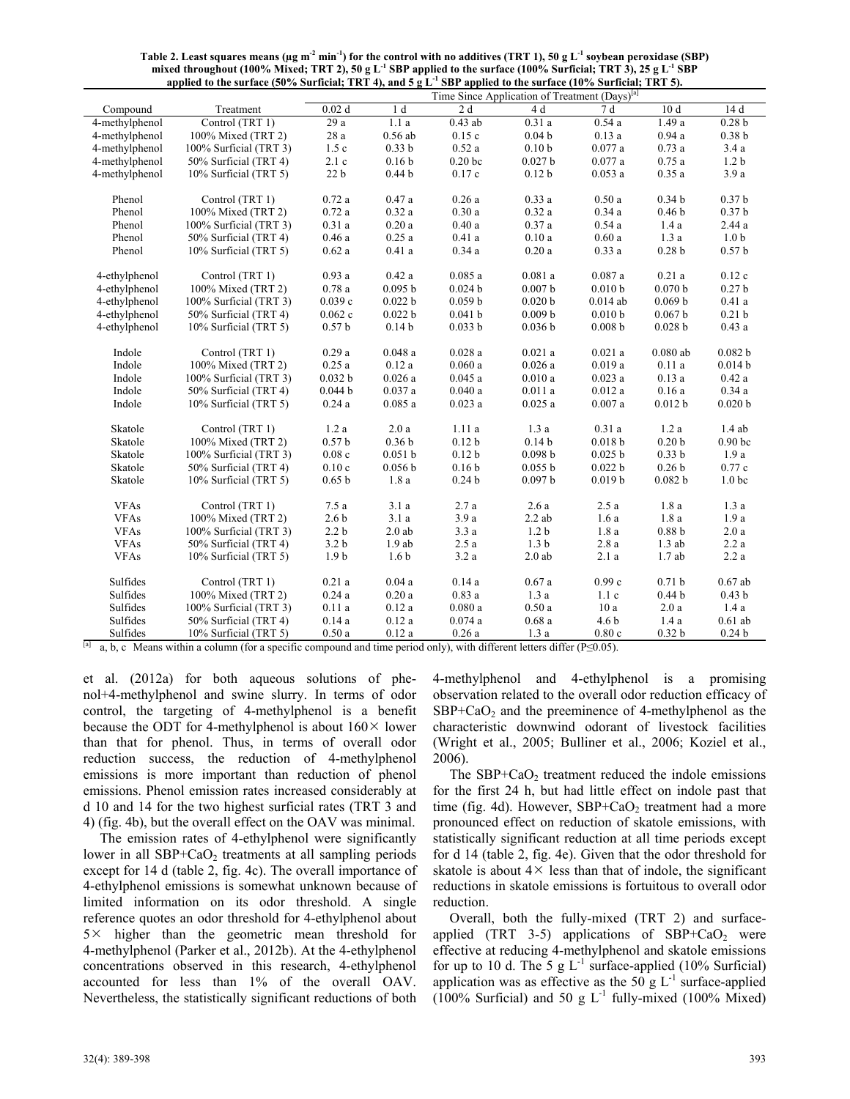| applied to the surface (50% Surficial; TRT 4), and 5 g L $\cdot$ SBP applied to the surface (10% Surficial; TRT 5). |                        |                                                           |                   |                    |                    |                    |                    |                    |  |  |
|---------------------------------------------------------------------------------------------------------------------|------------------------|-----------------------------------------------------------|-------------------|--------------------|--------------------|--------------------|--------------------|--------------------|--|--|
|                                                                                                                     |                        | Time Since Application of Treatment (Days) <sup>[a]</sup> |                   |                    |                    |                    |                    |                    |  |  |
| Compound                                                                                                            | Treatment              | 0.02d                                                     | 1 <sub>d</sub>    | 2d                 | 4 d                | 7d                 | 10 <sub>d</sub>    | 14 d               |  |  |
| 4-methylphenol                                                                                                      | Control (TRT 1)        | 29 a                                                      | 1.1a              | $0.43$ ab          | 0.31a              | 0.54a              | 1.49a              | 0.28 <sub>b</sub>  |  |  |
| 4-methylphenol                                                                                                      | 100% Mixed (TRT 2)     | 28 a                                                      | $0.56$ ab         | 0.15c              | 0.04 <sub>b</sub>  | 0.13a              | 0.94a              | 0.38 <sub>b</sub>  |  |  |
| 4-methylphenol                                                                                                      | 100% Surficial (TRT 3) | 1.5c                                                      | 0.33 <sub>b</sub> | 0.52a              | 0.10 <sub>b</sub>  | 0.077a             | 0.73a              | 3.4a               |  |  |
| 4-methylphenol                                                                                                      | 50% Surficial (TRT 4)  | 2.1c                                                      | 0.16 <sub>b</sub> | 0.20 <sub>b</sub>  | 0.027 <sub>b</sub> | 0.077a             | 0.75a              | 1.2 <sub>b</sub>   |  |  |
| 4-methylphenol                                                                                                      | 10% Surficial (TRT 5)  | 22 <sub>b</sub>                                           | 0.44 <sub>b</sub> | 0.17c              | 0.12 <sub>b</sub>  | 0.053a             | 0.35a              | 3.9a               |  |  |
|                                                                                                                     |                        |                                                           |                   |                    |                    |                    |                    |                    |  |  |
| Phenol                                                                                                              | Control (TRT 1)        | 0.72a                                                     | 0.47a             | 0.26a              | 0.33a              | 0.50a              | 0.34 <sub>b</sub>  | 0.37 <sub>b</sub>  |  |  |
| Phenol                                                                                                              | 100% Mixed (TRT 2)     | 0.72a                                                     | 0.32a             | 0.30a              | 0.32a              | 0.34a              | 0.46 <sub>b</sub>  | 0.37 <sub>b</sub>  |  |  |
| Phenol                                                                                                              | 100% Surficial (TRT 3) | 0.31a                                                     | 0.20a             | 0.40a              | 0.37a              | 0.54a              | 1.4a               | $2.44\ a$          |  |  |
| Phenol                                                                                                              | 50% Surficial (TRT 4)  | 0.46a                                                     | 0.25a             | 0.41a              | 0.10a              | 0.60a              | 1.3a               | 1.0 <sub>b</sub>   |  |  |
| Phenol                                                                                                              | 10% Surficial (TRT 5)  | 0.62a                                                     | 0.41a             | 0.34a              | 0.20a              | 0.33a              | 0.28 <sub>b</sub>  | 0.57 <sub>b</sub>  |  |  |
|                                                                                                                     |                        |                                                           |                   |                    |                    |                    |                    |                    |  |  |
| 4-ethylphenol                                                                                                       | Control (TRT 1)        | 0.93a                                                     | 0.42a             | 0.085a             | 0.081a             | 0.087a             | 0.21a              | 0.12c              |  |  |
| 4-ethylphenol                                                                                                       | 100% Mixed (TRT 2)     | 0.78a                                                     | 0.095 b           | 0.024 <sub>b</sub> | 0.007 <sub>b</sub> | 0.010 <sub>b</sub> | 0.070 b            | 0.27 <sub>b</sub>  |  |  |
| 4-ethylphenol                                                                                                       | 100% Surficial (TRT 3) | 0.039c                                                    | 0.022 b           | 0.059 <sub>b</sub> | 0.020 <sub>b</sub> | $0.014$ ab         | 0.069 <sub>b</sub> | 0.41a              |  |  |
| 4-ethylphenol                                                                                                       | 50% Surficial (TRT 4)  | 0.062c                                                    | 0.022 b           | 0.041 b            | 0.009 b            | 0.010 <sub>b</sub> | 0.067 b            | 0.21 <sub>b</sub>  |  |  |
| 4-ethylphenol                                                                                                       | 10% Surficial (TRT 5)  | 0.57 <sub>b</sub>                                         | 0.14 <sub>b</sub> | 0.033 b            | 0.036 <sub>b</sub> | 0.008 <sub>b</sub> | 0.028 <sub>b</sub> | 0.43a              |  |  |
| Indole                                                                                                              | Control (TRT 1)        | 0.29a                                                     | 0.048a            | 0.028a             | 0.021a             | 0.021a             | $0.080$ ab         | 0.082 b            |  |  |
| Indole                                                                                                              | 100% Mixed (TRT 2)     | 0.25a                                                     | 0.12a             | 0.060a             | 0.026a             | 0.019a             | 0.11a              | 0.014 <sub>b</sub> |  |  |
| Indole                                                                                                              | 100% Surficial (TRT 3) | 0.032 b                                                   | 0.026a            | 0.045a             | 0.010a             | 0.023a             | 0.13a              | 0.42a              |  |  |
| Indole                                                                                                              | 50% Surficial (TRT 4)  | 0.044 b                                                   | 0.037a            | 0.040a             | 0.011a             | 0.012a             | 0.16a              | 0.34a              |  |  |
| Indole                                                                                                              | 10% Surficial (TRT 5)  | 0.24a                                                     | 0.085a            | 0.023a             | 0.025a             | 0.007a             | 0.012 b            | 0.020 <sub>b</sub> |  |  |
|                                                                                                                     |                        |                                                           |                   |                    |                    |                    |                    |                    |  |  |
| Skatole                                                                                                             | Control (TRT 1)        | 1.2a                                                      | 2.0a              | 1.11a              | 1.3a               | 0.31a              | 1.2a               | 1.4ab              |  |  |
| Skatole                                                                                                             | 100% Mixed (TRT 2)     | 0.57 <sub>b</sub>                                         | 0.36 <sub>b</sub> | 0.12 <sub>b</sub>  | 0.14 <sub>b</sub>  | 0.018 <sub>b</sub> | 0.20 <sub>b</sub>  | 0.90 <sub>bc</sub> |  |  |
| Skatole                                                                                                             | 100% Surficial (TRT 3) | 0.08c                                                     | 0.051 b           | 0.12 <sub>b</sub>  | 0.098 <sub>b</sub> | 0.025 b            | 0.33 <sub>b</sub>  | 1.9a               |  |  |
| Skatole                                                                                                             | 50% Surficial (TRT 4)  | 0.10c                                                     | 0.056 b           | 0.16 <sub>b</sub>  | 0.055 b            | 0.022 b            | 0.26 <sub>b</sub>  | 0.77c              |  |  |
| Skatole                                                                                                             | 10% Surficial (TRT 5)  | 0.65 <sub>b</sub>                                         | 1.8a              | 0.24 <sub>b</sub>  | 0.097 b            | 0.019 <sub>b</sub> | 0.082 b            | 1.0 <sub>bc</sub>  |  |  |
|                                                                                                                     |                        |                                                           |                   |                    |                    |                    |                    |                    |  |  |
| <b>VFAs</b>                                                                                                         | Control (TRT 1)        | 7.5a                                                      | 3.1a              | 2.7a               | 2.6a               | 2.5a               | 1.8a               | 1.3a               |  |  |
| <b>VFAs</b>                                                                                                         | 100% Mixed (TRT 2)     | 2.6 <sub>b</sub>                                          | 3.1a              | 3.9a               | $2.2$ ab           | 1.6a               | 1.8a               | 1.9a               |  |  |
| <b>VFAs</b>                                                                                                         | 100% Surficial (TRT 3) | $2.2b$                                                    | $2.0$ ab          | 3.3a               | 1.2 <sub>b</sub>   | $1.8\ a$           | 0.88 <sub>b</sub>  | $2.0\ a$           |  |  |
| <b>VFAs</b>                                                                                                         | 50% Surficial (TRT 4)  | 3.2 <sub>b</sub>                                          | 1.9ab             | 2.5a               | 1.3 <sub>b</sub>   | 2.8a               | $1.3$ ab           | 2.2a               |  |  |
| <b>VFAs</b>                                                                                                         | 10% Surficial (TRT 5)  | 1.9 <sub>b</sub>                                          | 1.6 <sub>b</sub>  | 3.2a               | $2.0$ ab           | 2.1a               | 1.7ab              | 2.2a               |  |  |
| Sulfides                                                                                                            | Control (TRT 1)        | 0.21a                                                     | 0.04a             | 0.14a              | 0.67a              | 0.99c              | 0.71 <sub>b</sub>  | $0.67$ ab          |  |  |
| Sulfides                                                                                                            | 100% Mixed (TRT 2)     | 0.24a                                                     | 0.20a             | 0.83a              | 1.3a               | 1.1c               | 0.44 <sub>b</sub>  | 0.43 <sub>b</sub>  |  |  |
| Sulfides                                                                                                            | 100% Surficial (TRT 3) | 0.11a                                                     | 0.12a             | 0.080a             | 0.50a              | 10a                | 2.0a               | 1.4a               |  |  |
| Sulfides                                                                                                            | 50% Surficial (TRT 4)  | 0.14a                                                     | 0.12a             | 0.074a             | 0.68a              | 4.6 <sub>b</sub>   | 1.4a               | $0.61$ ab          |  |  |
| Sulfides                                                                                                            | 10% Surficial (TRT 5)  | 0.50a                                                     | 0.12a             | 0.26a              | 1.3a               | 0.80c              | 0.32 <sub>b</sub>  | 0.24 <sub>b</sub>  |  |  |
|                                                                                                                     |                        |                                                           |                   |                    |                    |                    |                    |                    |  |  |

| Table 2. Least squares means ( $\mu$ g m <sup>-2</sup> min <sup>-1</sup> ) for the control with no additives (TRT 1), 50 g L <sup>-1</sup> soybean peroxidase (SBP) |
|---------------------------------------------------------------------------------------------------------------------------------------------------------------------|
| mixed throughout (100% Mixed; TRT 2), 50 g L <sup>-1</sup> SBP applied to the surface (100% Surficial; TRT 3), 25 g L <sup>-1</sup> SBP                             |
| applied to the surface (50% Surficial; TRT 4), and 5 g $L^{-1}$ SBP applied to the surface (10% Surficial; TRT 5).                                                  |

<sup>[a]</sup> a, b, c Means within a column (for a specific compound and time period only), with different letters differ (P≤0.05).

et al. (2012a) for both aqueous solutions of phenol+4-methylphenol and swine slurry. In terms of odor control, the targeting of 4-methylphenol is a benefit because the ODT for 4-methylphenol is about  $160 \times$  lower than that for phenol. Thus, in terms of overall odor reduction success, the reduction of 4-methylphenol emissions is more important than reduction of phenol emissions. Phenol emission rates increased considerably at d 10 and 14 for the two highest surficial rates (TRT 3 and 4) (fig. 4b), but the overall effect on the OAV was minimal.

The emission rates of 4-ethylphenol were significantly lower in all  $SBP+CaO<sub>2</sub>$  treatments at all sampling periods except for 14 d (table 2, fig. 4c). The overall importance of 4-ethylphenol emissions is somewhat unknown because of limited information on its odor threshold. A single reference quotes an odor threshold for 4-ethylphenol about  $5 \times$  higher than the geometric mean threshold for 4-methylphenol (Parker et al., 2012b). At the 4-ethylphenol concentrations observed in this research, 4-ethylphenol accounted for less than 1% of the overall OAV. Nevertheless, the statistically significant reductions of both

4-methylphenol and 4-ethylphenol is a promising observation related to the overall odor reduction efficacy of  $SBP+CaO<sub>2</sub>$  and the preeminence of 4-methylphenol as the characteristic downwind odorant of livestock facilities (Wright et al., 2005; Bulliner et al., 2006; Koziel et al., 2006).

The  $SBP+CaO<sub>2</sub>$  treatment reduced the indole emissions for the first 24 h, but had little effect on indole past that time (fig. 4d). However,  $SBP+CaO<sub>2</sub>$  treatment had a more pronounced effect on reduction of skatole emissions, with statistically significant reduction at all time periods except for d 14 (table 2, fig. 4e). Given that the odor threshold for skatole is about  $4 \times$  less than that of indole, the significant reductions in skatole emissions is fortuitous to overall odor reduction.

Overall, both the fully-mixed (TRT 2) and surfaceapplied (TRT 3-5) applications of  $SBP+CaO<sub>2</sub>$  were effective at reducing 4-methylphenol and skatole emissions for up to 10 d. The 5 g  $L^{-1}$  surface-applied (10% Surficial) application was as effective as the 50 g  $L^{-1}$  surface-applied  $(100\%$  Surficial) and 50 g L<sup>-1</sup> fully-mixed (100% Mixed)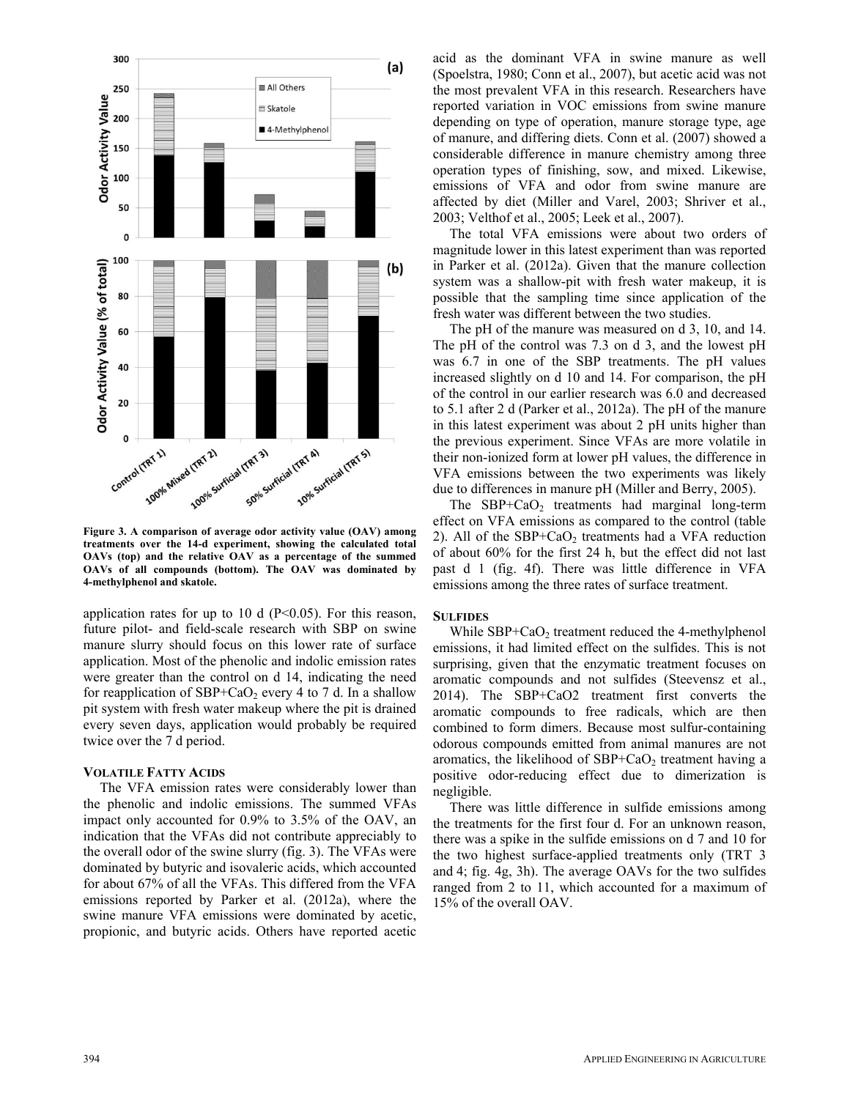

**Figure 3. A comparison of average odor activity value (OAV) among treatments over the 14-d experiment, showing the calculated total OAVs (top) and the relative OAV as a percentage of the summed OAVs of all compounds (bottom). The OAV was dominated by 4-methylphenol and skatole.** 

application rates for up to 10 d  $(P<0.05)$ . For this reason, future pilot- and field-scale research with SBP on swine manure slurry should focus on this lower rate of surface application. Most of the phenolic and indolic emission rates were greater than the control on d 14, indicating the need for reapplication of  $SBP+CaO<sub>2</sub>$  every 4 to 7 d. In a shallow pit system with fresh water makeup where the pit is drained every seven days, application would probably be required twice over the 7 d period.

#### **VOLATILE FATTY ACIDS**

The VFA emission rates were considerably lower than the phenolic and indolic emissions. The summed VFAs impact only accounted for 0.9% to 3.5% of the OAV, an indication that the VFAs did not contribute appreciably to the overall odor of the swine slurry (fig. 3). The VFAs were dominated by butyric and isovaleric acids, which accounted for about 67% of all the VFAs. This differed from the VFA emissions reported by Parker et al. (2012a), where the swine manure VFA emissions were dominated by acetic, propionic, and butyric acids. Others have reported acetic acid as the dominant VFA in swine manure as well (Spoelstra, 1980; Conn et al., 2007), but acetic acid was not the most prevalent VFA in this research. Researchers have reported variation in VOC emissions from swine manure depending on type of operation, manure storage type, age of manure, and differing diets. Conn et al. (2007) showed a considerable difference in manure chemistry among three operation types of finishing, sow, and mixed. Likewise, emissions of VFA and odor from swine manure are affected by diet (Miller and Varel, 2003; Shriver et al., 2003; Velthof et al., 2005; Leek et al., 2007).

The total VFA emissions were about two orders of magnitude lower in this latest experiment than was reported in Parker et al. (2012a). Given that the manure collection system was a shallow-pit with fresh water makeup, it is possible that the sampling time since application of the fresh water was different between the two studies.

The pH of the manure was measured on d 3, 10, and 14. The pH of the control was 7.3 on d 3, and the lowest pH was 6.7 in one of the SBP treatments. The pH values increased slightly on d 10 and 14. For comparison, the pH of the control in our earlier research was 6.0 and decreased to 5.1 after 2 d (Parker et al., 2012a). The pH of the manure in this latest experiment was about 2 pH units higher than the previous experiment. Since VFAs are more volatile in their non-ionized form at lower pH values, the difference in VFA emissions between the two experiments was likely due to differences in manure pH (Miller and Berry, 2005).

The  $SBP+CaO<sub>2</sub>$  treatments had marginal long-term effect on VFA emissions as compared to the control (table 2). All of the  $SBP+CaO<sub>2</sub>$  treatments had a VFA reduction of about 60% for the first 24 h, but the effect did not last past d 1 (fig. 4f). There was little difference in VFA emissions among the three rates of surface treatment.

#### **SULFIDES**

While  $SBP+CaO<sub>2</sub>$  treatment reduced the 4-methylphenol emissions, it had limited effect on the sulfides. This is not surprising, given that the enzymatic treatment focuses on aromatic compounds and not sulfides (Steevensz et al., 2014). The SBP+CaO2 treatment first converts the aromatic compounds to free radicals, which are then combined to form dimers. Because most sulfur-containing odorous compounds emitted from animal manures are not aromatics, the likelihood of  $SBP+CaO<sub>2</sub>$  treatment having a positive odor-reducing effect due to dimerization is negligible.

There was little difference in sulfide emissions among the treatments for the first four d. For an unknown reason, there was a spike in the sulfide emissions on d 7 and 10 for the two highest surface-applied treatments only (TRT 3 and 4; fig. 4g, 3h). The average OAVs for the two sulfides ranged from 2 to 11, which accounted for a maximum of 15% of the overall OAV.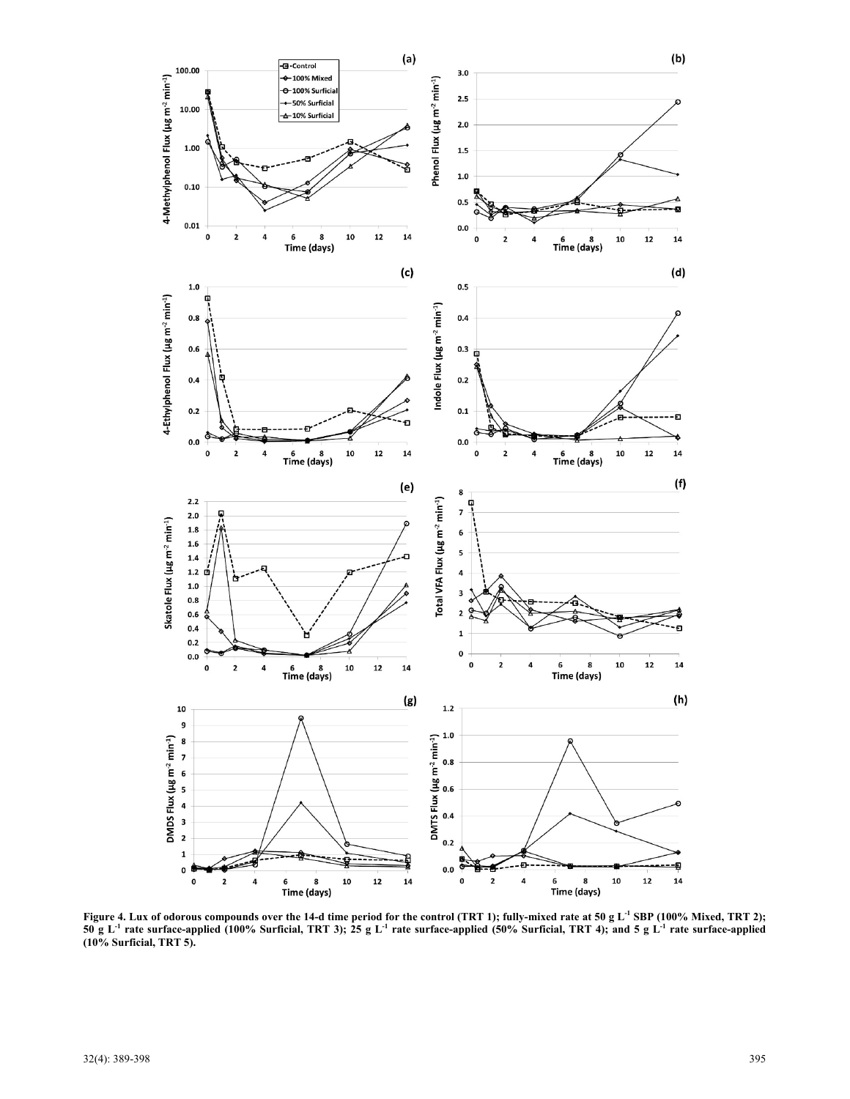

Figure 4. Lux of odorous compounds over the 14-d time period for the control (TRT 1); fully-mixed rate at 50 g L<sup>-1</sup> SBP (100% Mixed, TRT 2); **50 g L<sup>-1</sup> rate surface-applied (100% Surficial, TRT 3); 25 g L<sup>-1</sup> rate surface-applied (50% Surficial, TRT 4); and 5 g L<sup>-1</sup> rate surface-applied (10% Surficial, TRT 5).**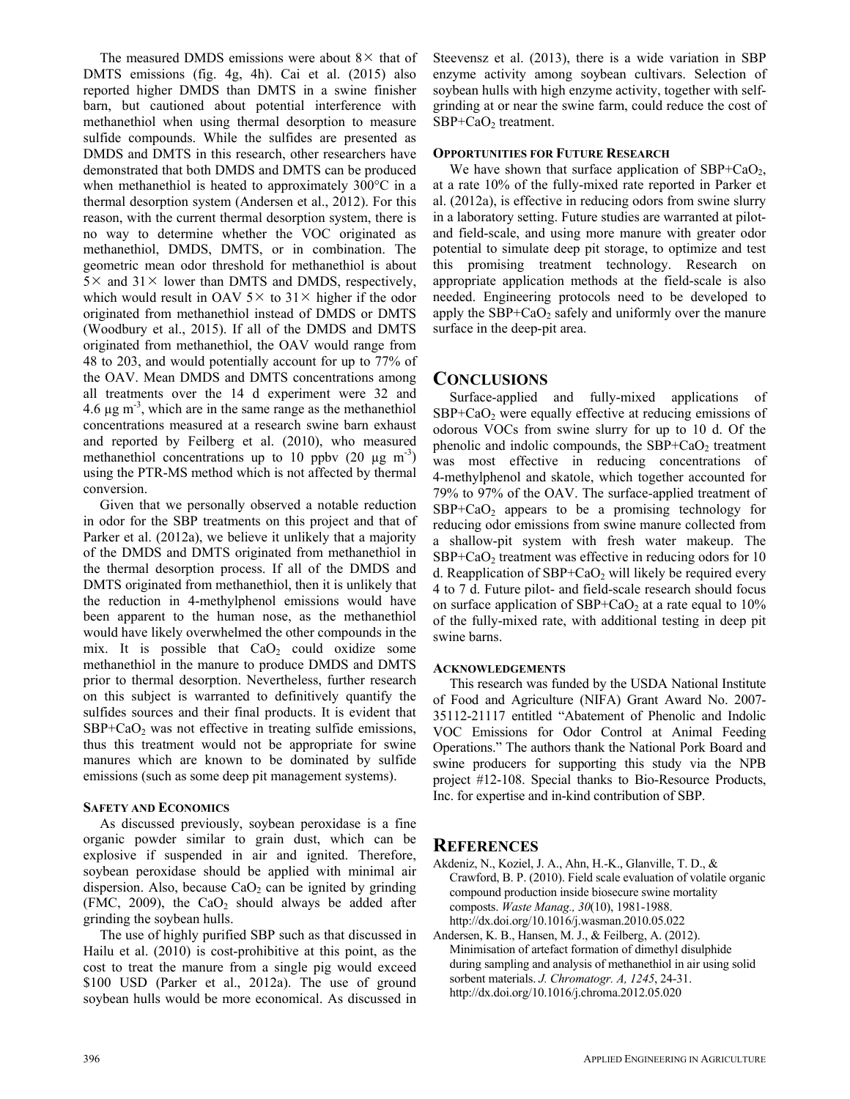The measured DMDS emissions were about  $8 \times$  that of DMTS emissions (fig. 4g, 4h). Cai et al. (2015) also reported higher DMDS than DMTS in a swine finisher barn, but cautioned about potential interference with methanethiol when using thermal desorption to measure sulfide compounds. While the sulfides are presented as DMDS and DMTS in this research, other researchers have demonstrated that both DMDS and DMTS can be produced when methanethiol is heated to approximately 300°C in a thermal desorption system (Andersen et al., 2012). For this reason, with the current thermal desorption system, there is no way to determine whether the VOC originated as methanethiol, DMDS, DMTS, or in combination. The geometric mean odor threshold for methanethiol is about  $5 \times$  and  $31 \times$  lower than DMTS and DMDS, respectively, which would result in OAV  $5 \times$  to  $31 \times$  higher if the odor originated from methanethiol instead of DMDS or DMTS (Woodbury et al., 2015). If all of the DMDS and DMTS originated from methanethiol, the OAV would range from 48 to 203, and would potentially account for up to 77% of the OAV. Mean DMDS and DMTS concentrations among all treatments over the 14 d experiment were 32 and 4.6  $\mu$ g m<sup>-3</sup>, which are in the same range as the methanethiol concentrations measured at a research swine barn exhaust and reported by Feilberg et al. (2010), who measured methanethiol concentrations up to 10 ppbv  $(20 \mu g m^{-3})$ using the PTR-MS method which is not affected by thermal conversion.

Given that we personally observed a notable reduction in odor for the SBP treatments on this project and that of Parker et al. (2012a), we believe it unlikely that a majority of the DMDS and DMTS originated from methanethiol in the thermal desorption process. If all of the DMDS and DMTS originated from methanethiol, then it is unlikely that the reduction in 4-methylphenol emissions would have been apparent to the human nose, as the methanethiol would have likely overwhelmed the other compounds in the mix. It is possible that  $CaO<sub>2</sub>$  could oxidize some methanethiol in the manure to produce DMDS and DMTS prior to thermal desorption. Nevertheless, further research on this subject is warranted to definitively quantify the sulfides sources and their final products. It is evident that  $SBP+CaO<sub>2</sub>$  was not effective in treating sulfide emissions, thus this treatment would not be appropriate for swine manures which are known to be dominated by sulfide emissions (such as some deep pit management systems).

### **SAFETY AND ECONOMICS**

As discussed previously, soybean peroxidase is a fine organic powder similar to grain dust, which can be explosive if suspended in air and ignited. Therefore, soybean peroxidase should be applied with minimal air dispersion. Also, because  $CaO<sub>2</sub>$  can be ignited by grinding (FMC, 2009), the  $CaO<sub>2</sub>$  should always be added after grinding the soybean hulls.

The use of highly purified SBP such as that discussed in Hailu et al. (2010) is cost-prohibitive at this point, as the cost to treat the manure from a single pig would exceed \$100 USD (Parker et al., 2012a). The use of ground soybean hulls would be more economical. As discussed in Steevensz et al. (2013), there is a wide variation in SBP enzyme activity among soybean cultivars. Selection of soybean hulls with high enzyme activity, together with selfgrinding at or near the swine farm, could reduce the cost of SBP+CaO<sub>2</sub> treatment.

# **OPPORTUNITIES FOR FUTURE RESEARCH**

We have shown that surface application of  $SBP+CaO<sub>2</sub>$ , at a rate 10% of the fully-mixed rate reported in Parker et al. (2012a), is effective in reducing odors from swine slurry in a laboratory setting. Future studies are warranted at pilotand field-scale, and using more manure with greater odor potential to simulate deep pit storage, to optimize and test this promising treatment technology. Research on appropriate application methods at the field-scale is also needed. Engineering protocols need to be developed to apply the  $SBP+CaO<sub>2</sub>$  safely and uniformly over the manure surface in the deep-pit area.

# **CONCLUSIONS**

Surface-applied and fully-mixed applications of  $SBP+CaO<sub>2</sub>$  were equally effective at reducing emissions of odorous VOCs from swine slurry for up to 10 d. Of the phenolic and indolic compounds, the  $SBP+CaO<sub>2</sub>$  treatment was most effective in reducing concentrations of 4-methylphenol and skatole, which together accounted for 79% to 97% of the OAV. The surface-applied treatment of  $SBP+CaO<sub>2</sub>$  appears to be a promising technology for reducing odor emissions from swine manure collected from a shallow-pit system with fresh water makeup. The  $SBP+CaO<sub>2</sub>$  treatment was effective in reducing odors for 10 d. Reapplication of  $SBP+CaO<sub>2</sub>$  will likely be required every 4 to 7 d. Future pilot- and field-scale research should focus on surface application of  $SBP+CaO<sub>2</sub>$  at a rate equal to 10% of the fully-mixed rate, with additional testing in deep pit swine barns.

## **ACKNOWLEDGEMENTS**

This research was funded by the USDA National Institute of Food and Agriculture (NIFA) Grant Award No. 2007- 35112-21117 entitled "Abatement of Phenolic and Indolic VOC Emissions for Odor Control at Animal Feeding Operations." The authors thank the National Pork Board and swine producers for supporting this study via the NPB project #12-108. Special thanks to Bio-Resource Products, Inc. for expertise and in-kind contribution of SBP.

# **REFERENCES**

Akdeniz, N., Koziel, J. A., Ahn, H.-K., Glanville, T. D., & Crawford, B. P. (2010). Field scale evaluation of volatile organic compound production inside biosecure swine mortality composts. *Waste Manag., 30*(10), 1981-1988. http://dx.doi.org/10.1016/j.wasman.2010.05.022

Andersen, K. B., Hansen, M. J., & Feilberg, A. (2012). Minimisation of artefact formation of dimethyl disulphide during sampling and analysis of methanethiol in air using solid sorbent materials. *J. Chromatogr. A, 1245*, 24-31. http://dx.doi.org/10.1016/j.chroma.2012.05.020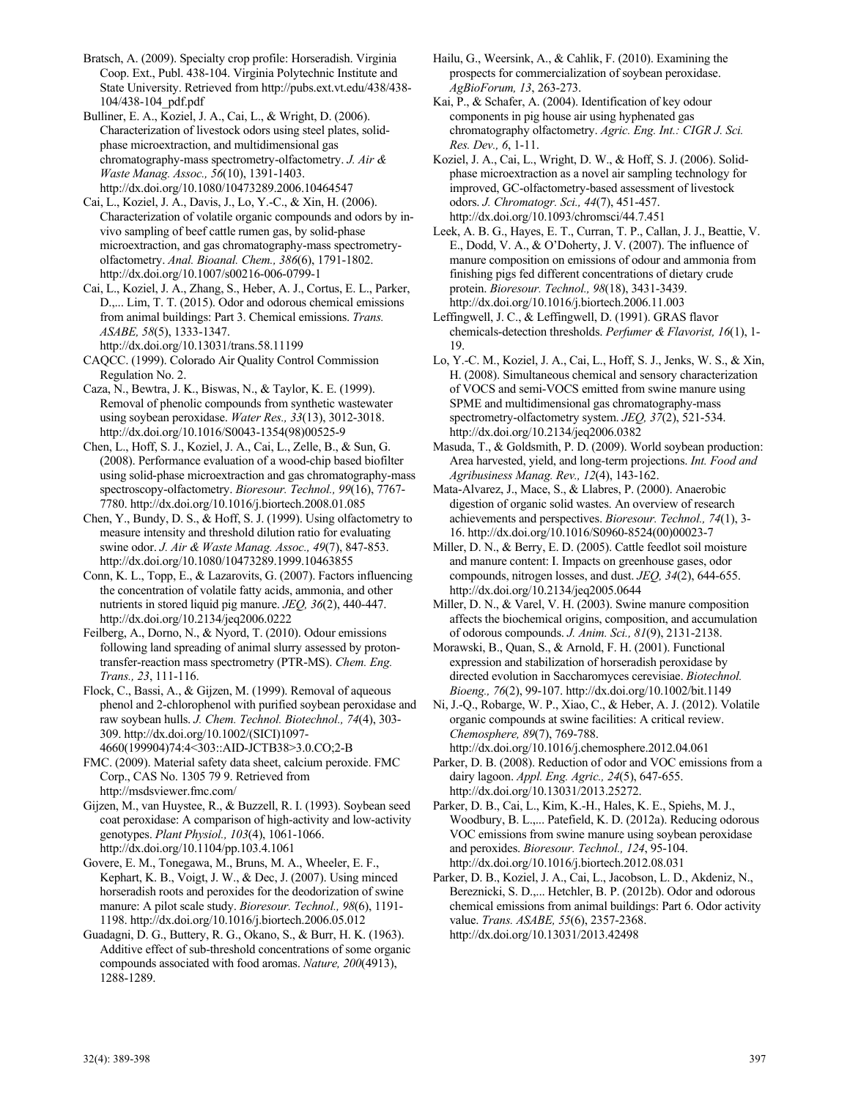Bratsch, A. (2009). Specialty crop profile: Horseradish. Virginia Coop. Ext., Publ. 438-104. Virginia Polytechnic Institute and State University. Retrieved from http://pubs.ext.vt.edu/438/438- 104/438-104\_pdf.pdf

Bulliner, E. A., Koziel, J. A., Cai, L., & Wright, D. (2006). Characterization of livestock odors using steel plates, solidphase microextraction, and multidimensional gas chromatography-mass spectrometry-olfactometry. *J. Air & Waste Manag. Assoc., 56*(10), 1391-1403. http://dx.doi.org/10.1080/10473289.2006.10464547

Cai, L., Koziel, J. A., Davis, J., Lo, Y.-C., & Xin, H. (2006). Characterization of volatile organic compounds and odors by invivo sampling of beef cattle rumen gas, by solid-phase microextraction, and gas chromatography-mass spectrometryolfactometry. *Anal. Bioanal. Chem., 386*(6), 1791-1802. http://dx.doi.org/10.1007/s00216-006-0799-1

Cai, L., Koziel, J. A., Zhang, S., Heber, A. J., Cortus, E. L., Parker, D.,... Lim, T. T. (2015). Odor and odorous chemical emissions from animal buildings: Part 3. Chemical emissions. *Trans. ASABE, 58*(5), 1333-1347. http://dx.doi.org/10.13031/trans.58.11199

CAQCC. (1999). Colorado Air Quality Control Commission Regulation No. 2.

Caza, N., Bewtra, J. K., Biswas, N., & Taylor, K. E. (1999). Removal of phenolic compounds from synthetic wastewater using soybean peroxidase. *Water Res., 33*(13), 3012-3018. http://dx.doi.org/10.1016/S0043-1354(98)00525-9

Chen, L., Hoff, S. J., Koziel, J. A., Cai, L., Zelle, B., & Sun, G. (2008). Performance evaluation of a wood-chip based biofilter using solid-phase microextraction and gas chromatography-mass spectroscopy-olfactometry. *Bioresour. Technol., 99*(16), 7767- 7780. http://dx.doi.org/10.1016/j.biortech.2008.01.085

Chen, Y., Bundy, D. S., & Hoff, S. J. (1999). Using olfactometry to measure intensity and threshold dilution ratio for evaluating swine odor. *J. Air & Waste Manag. Assoc., 49*(7), 847-853. http://dx.doi.org/10.1080/10473289.1999.10463855

Conn, K. L., Topp, E., & Lazarovits, G. (2007). Factors influencing the concentration of volatile fatty acids, ammonia, and other nutrients in stored liquid pig manure. *JEQ, 36*(2), 440-447. http://dx.doi.org/10.2134/jeq2006.0222

Feilberg, A., Dorno, N., & Nyord, T. (2010). Odour emissions following land spreading of animal slurry assessed by protontransfer-reaction mass spectrometry (PTR-MS). *Chem. Eng. Trans., 23*, 111-116.

Flock, C., Bassi, A., & Gijzen, M. (1999). Removal of aqueous phenol and 2-chlorophenol with purified soybean peroxidase and raw soybean hulls. *J. Chem. Technol. Biotechnol., 74*(4), 303- 309. http://dx.doi.org/10.1002/(SICI)1097- 4660(199904)74:4<303::AID-JCTB38>3.0.CO;2-B

FMC. (2009). Material safety data sheet, calcium peroxide. FMC Corp., CAS No. 1305 79 9. Retrieved from http://msdsviewer.fmc.com/

Gijzen, M., van Huystee, R., & Buzzell, R. I. (1993). Soybean seed coat peroxidase: A comparison of high-activity and low-activity genotypes. *Plant Physiol., 103*(4), 1061-1066. http://dx.doi.org/10.1104/pp.103.4.1061

Govere, E. M., Tonegawa, M., Bruns, M. A., Wheeler, E. F., Kephart, K. B., Voigt, J. W., & Dec, J. (2007). Using minced horseradish roots and peroxides for the deodorization of swine manure: A pilot scale study. *Bioresour. Technol., 98*(6), 1191- 1198. http://dx.doi.org/10.1016/j.biortech.2006.05.012

Guadagni, D. G., Buttery, R. G., Okano, S., & Burr, H. K. (1963). Additive effect of sub-threshold concentrations of some organic compounds associated with food aromas. *Nature, 200*(4913), 1288-1289.

Hailu, G., Weersink, A., & Cahlik, F. (2010). Examining the prospects for commercialization of soybean peroxidase. *AgBioForum, 13*, 263-273.

Kai, P., & Schafer, A. (2004). Identification of key odour components in pig house air using hyphenated gas chromatography olfactometry. *Agric. Eng. Int.: CIGR J. Sci. Res. Dev., 6*, 1-11.

Koziel, J. A., Cai, L., Wright, D. W., & Hoff, S. J. (2006). Solidphase microextraction as a novel air sampling technology for improved, GC-olfactometry-based assessment of livestock odors. *J. Chromatogr. Sci., 44*(7), 451-457. http://dx.doi.org/10.1093/chromsci/44.7.451

Leek, A. B. G., Hayes, E. T., Curran, T. P., Callan, J. J., Beattie, V. E., Dodd, V. A., & O'Doherty, J. V. (2007). The influence of manure composition on emissions of odour and ammonia from finishing pigs fed different concentrations of dietary crude protein. *Bioresour. Technol., 98*(18), 3431-3439. http://dx.doi.org/10.1016/j.biortech.2006.11.003

Leffingwell, J. C., & Leffingwell, D. (1991). GRAS flavor chemicals-detection thresholds. *Perfumer & Flavorist, 16*(1), 1- 19.

Lo, Y.-C. M., Koziel, J. A., Cai, L., Hoff, S. J., Jenks, W. S., & Xin, H. (2008). Simultaneous chemical and sensory characterization of VOCS and semi-VOCS emitted from swine manure using SPME and multidimensional gas chromatography-mass spectrometry-olfactometry system. *JEQ, 37*(2), 521-534. http://dx.doi.org/10.2134/jeq2006.0382

Masuda, T., & Goldsmith, P. D. (2009). World soybean production: Area harvested, yield, and long-term projections. *Int. Food and Agribusiness Manag. Rev., 12*(4), 143-162.

Mata-Alvarez, J., Mace, S., & Llabres, P. (2000). Anaerobic digestion of organic solid wastes. An overview of research achievements and perspectives. *Bioresour. Technol., 74*(1), 3- 16. http://dx.doi.org/10.1016/S0960-8524(00)00023-7

Miller, D. N., & Berry, E. D. (2005). Cattle feedlot soil moisture and manure content: I. Impacts on greenhouse gases, odor compounds, nitrogen losses, and dust. *JEQ, 34*(2), 644-655. http://dx.doi.org/10.2134/jeq2005.0644

Miller, D. N., & Varel, V. H. (2003). Swine manure composition affects the biochemical origins, composition, and accumulation of odorous compounds. *J. Anim. Sci., 81*(9), 2131-2138.

Morawski, B., Quan, S., & Arnold, F. H. (2001). Functional expression and stabilization of horseradish peroxidase by directed evolution in Saccharomyces cerevisiae. *Biotechnol. Bioeng., 76*(2), 99-107. http://dx.doi.org/10.1002/bit.1149

Ni, J.-Q., Robarge, W. P., Xiao, C., & Heber, A. J. (2012). Volatile organic compounds at swine facilities: A critical review. *Chemosphere, 89*(7), 769-788. http://dx.doi.org/10.1016/j.chemosphere.2012.04.061

Parker, D. B. (2008). Reduction of odor and VOC emissions from a dairy lagoon. *Appl. Eng. Agric., 24*(5), 647-655. http://dx.doi.org/10.13031/2013.25272.

Parker, D. B., Cai, L., Kim, K.-H., Hales, K. E., Spiehs, M. J., Woodbury, B. L.,... Patefield, K. D. (2012a). Reducing odorous VOC emissions from swine manure using soybean peroxidase and peroxides. *Bioresour. Technol., 124*, 95-104. http://dx.doi.org/10.1016/j.biortech.2012.08.031

Parker, D. B., Koziel, J. A., Cai, L., Jacobson, L. D., Akdeniz, N., Bereznicki, S. D.,... Hetchler, B. P. (2012b). Odor and odorous chemical emissions from animal buildings: Part 6. Odor activity value. *Trans. ASABE, 55*(6), 2357-2368. http://dx.doi.org/10.13031/2013.42498